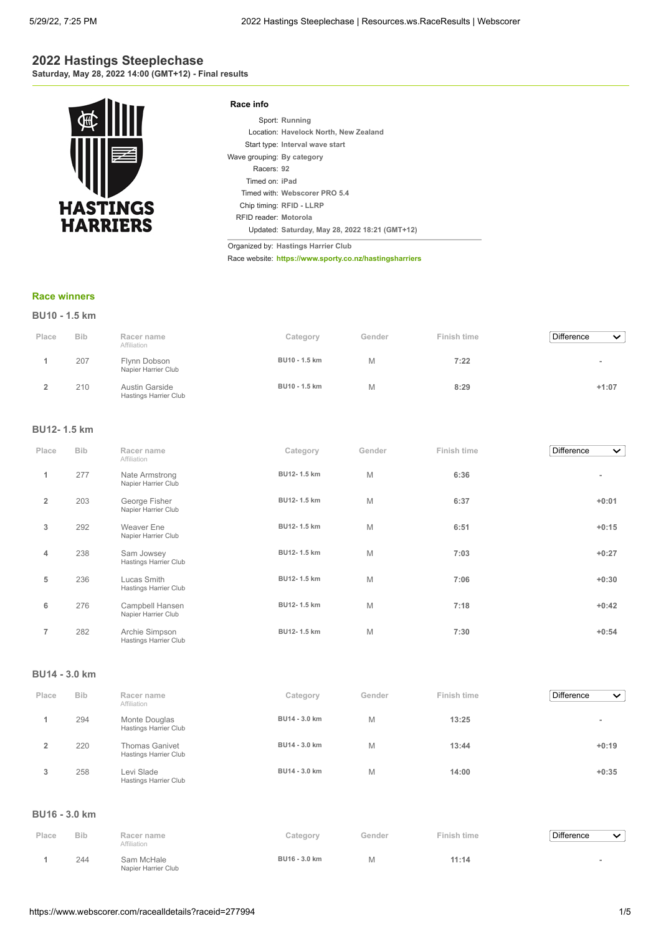## **2022 Hastings Steeplechase Saturday, May 28, 2022 14:00 (GMT+12) - Final results**



| Race info                  |                                                |
|----------------------------|------------------------------------------------|
|                            | Sport: Running                                 |
|                            | Location: Havelock North, New Zealand          |
|                            | Start type: Interval wave start                |
| Wave grouping: By category |                                                |
| Racers: 92                 |                                                |
| Timed on: iPad             |                                                |
|                            | Timed with: Webscorer PRO 5.4                  |
|                            | Chip timing: RFID - LLRP                       |
| REID reader: Motorola      |                                                |
|                            | Updated: Saturday, May 28, 2022 18:21 (GMT+12) |

Organized by: **Hastings Harrier Club**

Race website: **<https://www.sporty.co.nz/hastingsharriers>**

#### **[Race winners](https://www.webscorer.com/race?raceid=277994)**

|       | BU10 - 1.5 km |                                                |               |        |             |                                   |  |  |
|-------|---------------|------------------------------------------------|---------------|--------|-------------|-----------------------------------|--|--|
| Place | <b>Bib</b>    | Racer name<br>Affiliation                      | Category      | Gender | Finish time | <b>Difference</b><br>$\checkmark$ |  |  |
|       | 207           | Flynn Dobson<br>Napier Harrier Club            | BU10 - 1.5 km | Μ      | 7:22        | $\equiv$                          |  |  |
|       | 210           | Austin Garside<br><b>Hastings Harrier Club</b> | BU10 - 1.5 km | Μ      | 8:29        | $+1:07$                           |  |  |

#### **BU12- 1.5 km**

| Place          | <b>Bib</b> | Racer name<br>Affiliation               | Category    | Gender | Finish time | Difference<br>$\checkmark$ |
|----------------|------------|-----------------------------------------|-------------|--------|-------------|----------------------------|
| 1              | 277        | Nate Armstrong<br>Napier Harrier Club   | BU12-1.5 km | M      | 6:36        |                            |
| $\overline{2}$ | 203        | George Fisher<br>Napier Harrier Club    | BU12-1.5 km | M      | 6:37        | $+0:01$                    |
| 3              | 292        | Weaver Ene<br>Napier Harrier Club       | BU12-1.5 km | M      | 6:51        | $+0:15$                    |
| 4              | 238        | Sam Jowsey<br>Hastings Harrier Club     | BU12-1.5 km | M      | 7:03        | $+0:27$                    |
| 5              | 236        | Lucas Smith<br>Hastings Harrier Club    | BU12-1.5 km | M      | 7:06        | $+0:30$                    |
| 6              | 276        | Campbell Hansen<br>Napier Harrier Club  | BU12-1.5 km | M      | 7:18        | $+0:42$                    |
| $\overline{7}$ | 282        | Archie Simpson<br>Hastings Harrier Club | BU12-1.5 km | M      | 7:30        | $+0:54$                    |

#### **BU14 - 3.0 km**

| Place | <b>Bib</b> | Racer name<br>Affiliation                      | Category      | Gender | Finish time | <b>Difference</b><br>$\checkmark$ |
|-------|------------|------------------------------------------------|---------------|--------|-------------|-----------------------------------|
|       | 294        | Monte Douglas<br>Hastings Harrier Club         | BU14 - 3.0 km | M      | 13:25       | ۰                                 |
|       | 220        | <b>Thomas Ganivet</b><br>Hastings Harrier Club | BU14 - 3.0 km | M      | 13:44       | $+0:19$                           |
| 3     | 258        | Levi Slade<br>Hastings Harrier Club            | BU14 - 3.0 km | M      | 14:00       | $+0:35$                           |

#### **BU16 - 3.0 km**

| Place | <b>Bib</b> | Racer name<br>Affiliation         | Category      | Gender | Finish time | Difference | ╰ |
|-------|------------|-----------------------------------|---------------|--------|-------------|------------|---|
|       | 244        | Sam McHale<br>Napier Harrier Club | BU16 - 3.0 km | Μ      | 11:14       |            |   |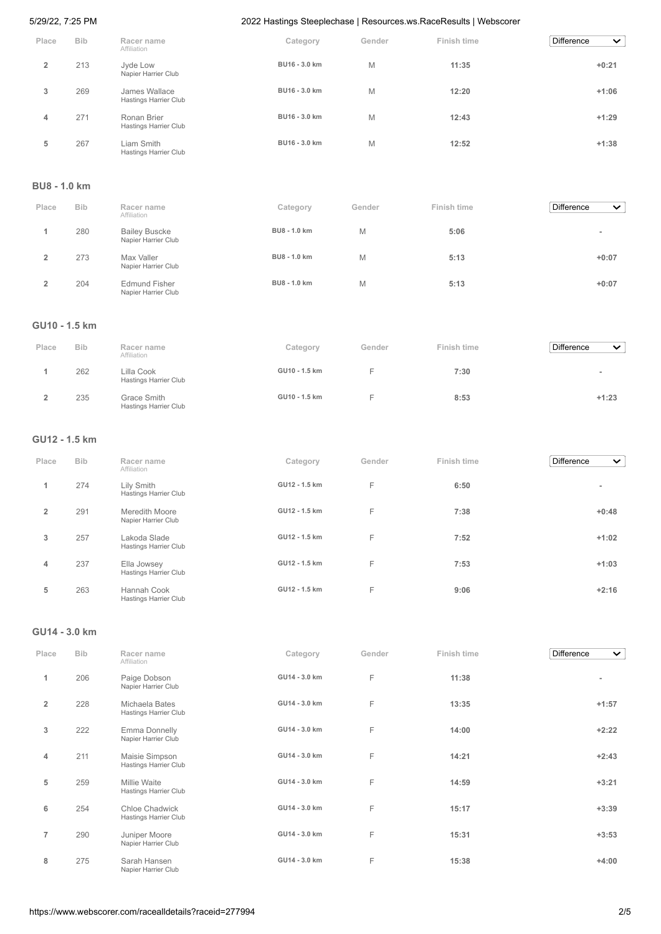| Place                   | <b>Bib</b> | Racer name<br>Affiliation              | Category      | Gender | Finish time | <b>Difference</b><br>$\checkmark$ |
|-------------------------|------------|----------------------------------------|---------------|--------|-------------|-----------------------------------|
| $\overline{\mathbf{2}}$ | 213        | Jyde Low<br>Napier Harrier Club        | BU16 - 3.0 km | M      | 11:35       | $+0:21$                           |
| 3                       | 269        | James Wallace<br>Hastings Harrier Club | BU16 - 3.0 km | M      | 12:20       | $+1:06$                           |
| 4                       | 271        | Ronan Brier<br>Hastings Harrier Club   | BU16 - 3.0 km | M      | 12:43       | $+1:29$                           |
| 5                       | 267        | Liam Smith<br>Hastings Harrier Club    | BU16 - 3.0 km | M      | 12:52       | $+1:38$                           |

#### **BU8 - 1.0 km**

| Place | <b>Bib</b> | Racer name<br>Affiliation                   | Category     | Gender | Finish time | <b>Difference</b><br>$\checkmark$ |
|-------|------------|---------------------------------------------|--------------|--------|-------------|-----------------------------------|
|       | 280        | <b>Bailey Buscke</b><br>Napier Harrier Club | BU8 - 1.0 km | M      | 5:06        | $\overline{\phantom{a}}$          |
| 2     | 273        | Max Valler<br>Napier Harrier Club           | BU8 - 1.0 km | M      | 5:13        | $+0:07$                           |
|       | 204        | <b>Edmund Fisher</b><br>Napier Harrier Club | BU8 - 1.0 km | M      | 5:13        | $+0:07$                           |

## **GU10 - 1.5 km**

| Place | <b>Bib</b> | Racer name<br>Affiliation            | Category      | Gender | Finish time | <b>Difference</b><br>$\checkmark$ |
|-------|------------|--------------------------------------|---------------|--------|-------------|-----------------------------------|
|       | 262        | Lilla Cook<br>Hastings Harrier Club  | GU10 - 1.5 km |        | 7:30        | ۰                                 |
|       | 235        | Grace Smith<br>Hastings Harrier Club | GU10 - 1.5 km |        | 8:53        | $+1:23$                           |

## **GU12 - 1.5 km**

| Place          | <b>Bib</b> | Racer name<br>Affiliation                   | Category      | Gender | Finish time | <b>Difference</b><br>$\checkmark$ |
|----------------|------------|---------------------------------------------|---------------|--------|-------------|-----------------------------------|
| 1              | 274        | Lily Smith<br><b>Hastings Harrier Club</b>  | GU12 - 1.5 km | F      | 6:50        | $\overline{\phantom{a}}$          |
| $\overline{2}$ | 291        | Meredith Moore<br>Napier Harrier Club       | GU12 - 1.5 km | F      | 7:38        | $+0:48$                           |
| 3              | 257        | Lakoda Slade<br>Hastings Harrier Club       | GU12 - 1.5 km | F      | 7:52        | $+1:02$                           |
| 4              | 237        | Ella Jowsey<br><b>Hastings Harrier Club</b> | GU12 - 1.5 km | F      | 7:53        | $+1:03$                           |
| 5              | 263        | Hannah Cook<br>Hastings Harrier Club        | GU12 - 1.5 km | F      | 9:06        | $+2:16$                           |

## **GU14 - 3.0 km**

| Place          | <b>Bib</b> | Racer name<br>Affiliation               | Category      | Gender | Finish time | <b>Difference</b><br>$\checkmark$ |
|----------------|------------|-----------------------------------------|---------------|--------|-------------|-----------------------------------|
| 1              | 206        | Paige Dobson<br>Napier Harrier Club     | GU14 - 3.0 km | F      | 11:38       | ٠                                 |
| $\overline{2}$ | 228        | Michaela Bates<br>Hastings Harrier Club | GU14 - 3.0 km | F      | 13:35       | $+1:57$                           |
| 3              | 222        | Emma Donnelly<br>Napier Harrier Club    | GU14 - 3.0 km | F      | 14:00       | $+2:22$                           |
| 4              | 211        | Maisie Simpson<br>Hastings Harrier Club | GU14 - 3.0 km | F      | 14:21       | $+2:43$                           |
| 5              | 259        | Millie Waite<br>Hastings Harrier Club   | GU14 - 3.0 km | F      | 14:59       | $+3:21$                           |
| 6              | 254        | Chloe Chadwick<br>Hastings Harrier Club | GU14 - 3.0 km | F      | 15:17       | $+3:39$                           |
| $\overline{7}$ | 290        | Juniper Moore<br>Napier Harrier Club    | GU14 - 3.0 km | F      | 15:31       | $+3:53$                           |
| 8              | 275        | Sarah Hansen<br>Napier Harrier Club     | GU14 - 3.0 km | F      | 15:38       | $+4:00$                           |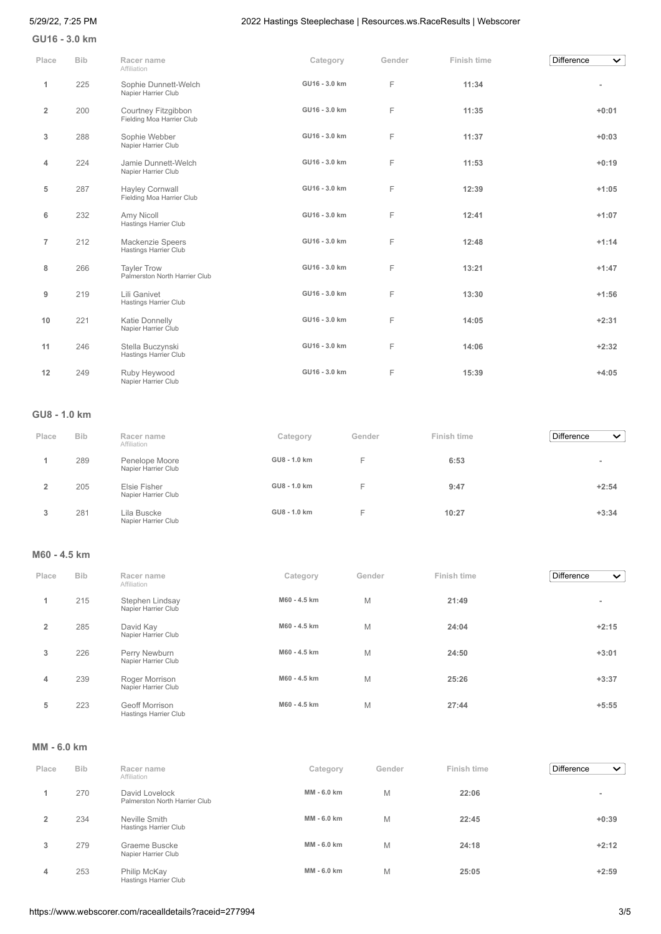**GU16 - 3.0 km**

| Place          | <b>Bib</b> | Racer name<br>Affiliation                           | Category      | Gender | Finish time | <b>Difference</b><br>$\checkmark$ |
|----------------|------------|-----------------------------------------------------|---------------|--------|-------------|-----------------------------------|
| 1              | 225        | Sophie Dunnett-Welch<br>Napier Harrier Club         | GU16 - 3.0 km | F      | 11:34       |                                   |
| $\overline{2}$ | 200        | Courtney Fitzgibbon<br>Fielding Moa Harrier Club    | GU16 - 3.0 km | F      | 11:35       | $+0:01$                           |
| 3              | 288        | Sophie Webber<br>Napier Harrier Club                | GU16 - 3.0 km | F      | 11:37       | $+0:03$                           |
| 4              | 224        | Jamie Dunnett-Welch<br>Napier Harrier Club          | GU16 - 3.0 km | F      | 11:53       | $+0:19$                           |
| 5              | 287        | Hayley Cornwall<br>Fielding Moa Harrier Club        | GU16 - 3.0 km | F      | 12:39       | $+1:05$                           |
| 6              | 232        | Amy Nicoll<br>Hastings Harrier Club                 | GU16 - 3.0 km | F      | 12:41       | $+1:07$                           |
| $\overline{7}$ | 212        | Mackenzie Speers<br><b>Hastings Harrier Club</b>    | GU16 - 3.0 km | F      | 12:48       | $+1:14$                           |
| 8              | 266        | <b>Tayler Trow</b><br>Palmerston North Harrier Club | GU16 - 3.0 km | F      | 13:21       | $+1:47$                           |
| 9              | 219        | Lili Ganivet<br>Hastings Harrier Club               | GU16 - 3.0 km | F      | 13:30       | $+1:56$                           |
| 10             | 221        | Katie Donnelly<br>Napier Harrier Club               | GU16 - 3.0 km | F      | 14:05       | $+2:31$                           |
| 11             | 246        | Stella Buczynski<br><b>Hastings Harrier Club</b>    | GU16 - 3.0 km | F      | 14:06       | $+2:32$                           |
| 12             | 249        | Ruby Heywood<br>Napier Harrier Club                 | GU16 - 3.0 km | F      | 15:39       | $+4:05$                           |

## **GU8 - 1.0 km**

| Place | <b>Bib</b> | Racer name<br>Affiliation             | Category     | Gender | Finish time | <b>Difference</b><br>$\checkmark$ |
|-------|------------|---------------------------------------|--------------|--------|-------------|-----------------------------------|
|       | 289        | Penelope Moore<br>Napier Harrier Club | GU8 - 1.0 km | -      | 6:53        | $\equiv$                          |
|       | 205        | Elsie Fisher<br>Napier Harrier Club   | GU8 - 1.0 km | -      | 9:47        | $+2:54$                           |
| 3     | 281        | Lila Buscke<br>Napier Harrier Club    | GU8 - 1.0 km | -<br>- | 10:27       | $+3:34$                           |

## **M60 - 4.5 km**

| Place          | <b>Bib</b> | Racer name<br>Affiliation                      | Category     | Gender | Finish time | Difference<br>$\checkmark$ |
|----------------|------------|------------------------------------------------|--------------|--------|-------------|----------------------------|
| 1              | 215        | Stephen Lindsay<br>Napier Harrier Club         | M60 - 4.5 km | M      | 21:49       | $\overline{\phantom{a}}$   |
| $\overline{2}$ | 285        | David Kay<br>Napier Harrier Club               | M60 - 4.5 km | M      | 24:04       | $+2:15$                    |
| 3              | 226        | Perry Newburn<br>Napier Harrier Club           | M60 - 4.5 km | M      | 24:50       | $+3:01$                    |
| 4              | 239        | Roger Morrison<br>Napier Harrier Club          | M60 - 4.5 km | M      | 25:26       | $+3:37$                    |
| 5              | 223        | <b>Geoff Morrison</b><br>Hastings Harrier Club | M60 - 4.5 km | M      | 27:44       | $+5:55$                    |

#### **MM - 6.0 km**

| Place          | <b>Bib</b> | Racer name<br>Affiliation                       | Category    | Gender | Finish time | <b>Difference</b><br>$\mathbf{\check{v}}$ |
|----------------|------------|-------------------------------------------------|-------------|--------|-------------|-------------------------------------------|
|                | 270        | David Lovelock<br>Palmerston North Harrier Club | MM - 6.0 km | M      | 22:06       | $\overline{\phantom{a}}$                  |
| $\overline{2}$ | 234        | Neville Smith<br>Hastings Harrier Club          | MM - 6.0 km | M      | 22:45       | $+0:39$                                   |
| 3              | 279        | Graeme Buscke<br>Napier Harrier Club            | MM - 6.0 km | M      | 24:18       | $+2:12$                                   |
| 4              | 253        | Philip McKay<br>Hastings Harrier Club           | MM - 6.0 km | M      | 25:05       | $+2:59$                                   |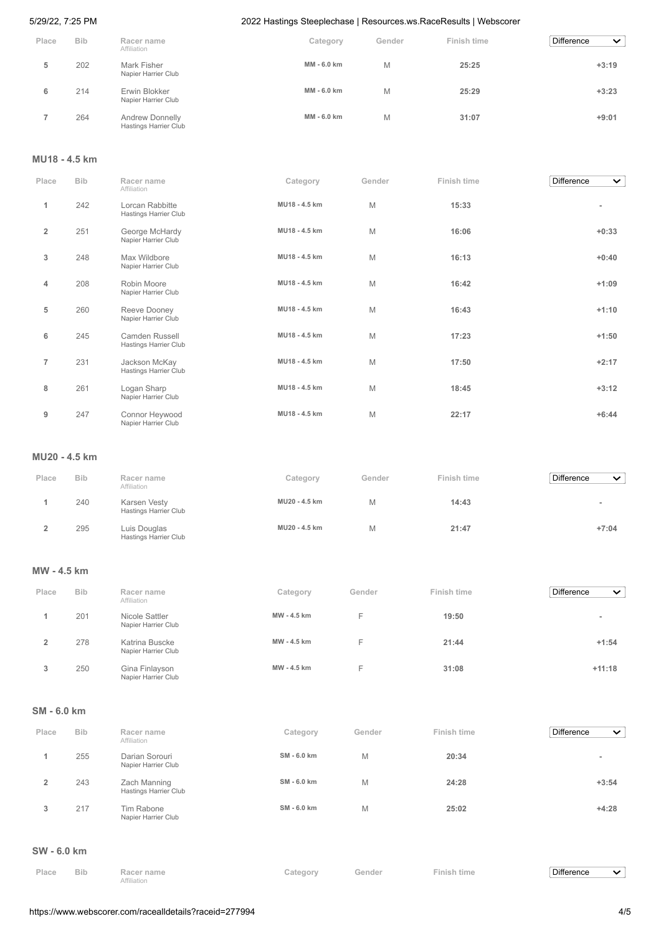| Place | <b>Bib</b> | Racer name<br>Affiliation                | Category    | Gender | Finish time | Difference<br>$\checkmark$ |
|-------|------------|------------------------------------------|-------------|--------|-------------|----------------------------|
| 5     | 202        | Mark Fisher<br>Napier Harrier Club       | MM - 6.0 km | M      | 25:25       | $+3:19$                    |
| 6     | 214        | Erwin Blokker<br>Napier Harrier Club     | MM - 6.0 km | M      | 25:29       | $+3:23$                    |
|       | 264        | Andrew Donnelly<br>Hastings Harrier Club | MM - 6.0 km | M      | 31:07       | $+9:01$                    |

## **MU18 - 4.5 km**

| Place          | <b>Bib</b> | Racer name<br>Affiliation                      | Category      | Gender | Finish time | Difference<br>$\checkmark$ |
|----------------|------------|------------------------------------------------|---------------|--------|-------------|----------------------------|
| $\mathbf{1}$   | 242        | Lorcan Rabbitte<br>Hastings Harrier Club       | MU18 - 4.5 km | M      | 15:33       | ٠                          |
| $\overline{2}$ | 251        | George McHardy<br>Napier Harrier Club          | MU18 - 4.5 km | M      | 16:06       | $+0:33$                    |
| 3              | 248        | Max Wildbore<br>Napier Harrier Club            | MU18 - 4.5 km | M      | 16:13       | $+0:40$                    |
| 4              | 208        | Robin Moore<br>Napier Harrier Club             | MU18 - 4.5 km | M      | 16:42       | $+1:09$                    |
| 5              | 260        | Reeve Dooney<br>Napier Harrier Club            | MU18 - 4.5 km | M      | 16:43       | $+1:10$                    |
| 6              | 245        | <b>Camden Russell</b><br>Hastings Harrier Club | MU18 - 4.5 km | M      | 17:23       | $+1:50$                    |
| $\overline{7}$ | 231        | Jackson McKay<br>Hastings Harrier Club         | MU18 - 4.5 km | M      | 17:50       | $+2:17$                    |
| 8              | 261        | Logan Sharp<br>Napier Harrier Club             | MU18 - 4.5 km | M      | 18:45       | $+3:12$                    |
| 9              | 247        | Connor Heywood<br>Napier Harrier Club          | MU18 - 4.5 km | M      | 22:17       | $+6:44$                    |

## **MU20 - 4.5 km**

| Place | <b>Bib</b> | Racer name<br>Affiliation             | Category      | Gender | Finish time | <b>Difference</b><br>$\checkmark$ |
|-------|------------|---------------------------------------|---------------|--------|-------------|-----------------------------------|
|       | 240        | Karsen Vesty<br>Hastings Harrier Club | MU20 - 4.5 km |        | 14:43       |                                   |
|       | 295        | Luis Douglas<br>Hastings Harrier Club | MU20 - 4.5 km | М      | 21:47       | $+7:04$                           |

## **MW - 4.5 km**

| Place | <b>Bib</b> | Racer name<br>Affiliation             | Category    | Gender | Finish time | Difference<br>$\checkmark$ |
|-------|------------|---------------------------------------|-------------|--------|-------------|----------------------------|
|       | 201        | Nicole Sattler<br>Napier Harrier Club | MW - 4.5 km | E      | 19:50       | $\,$                       |
|       | 278        | Katrina Buscke<br>Napier Harrier Club | MW - 4.5 km | E      | 21:44       | $+1:54$                    |
| 3     | 250        | Gina Finlayson<br>Napier Harrier Club | MW - 4.5 km | F      | 31:08       | $+11:18$                   |

# **SM - 6.0 km**

| Place | <b>Bib</b> | Racer name<br>Affiliation             | Category    | Gender | Finish time | <b>Difference</b><br>$\checkmark$ |
|-------|------------|---------------------------------------|-------------|--------|-------------|-----------------------------------|
|       | 255        | Darian Sorouri<br>Napier Harrier Club | SM - 6.0 km | M      | 20:34       | -                                 |
| 2     | 243        | Zach Manning<br>Hastings Harrier Club | SM - 6.0 km | M      | 24:28       | $+3:54$                           |
| 3     | 217        | Tim Rabone<br>Napier Harrier Club     | SM - 6.0 km | M      | 25:02       | $+4:28$                           |

#### **SW - 6.0 km**

| Place | <b>Bib</b> | Racer name  | Category | Gender | Finish time | Difference |  |
|-------|------------|-------------|----------|--------|-------------|------------|--|
|       |            | Affiliation |          |        |             |            |  |